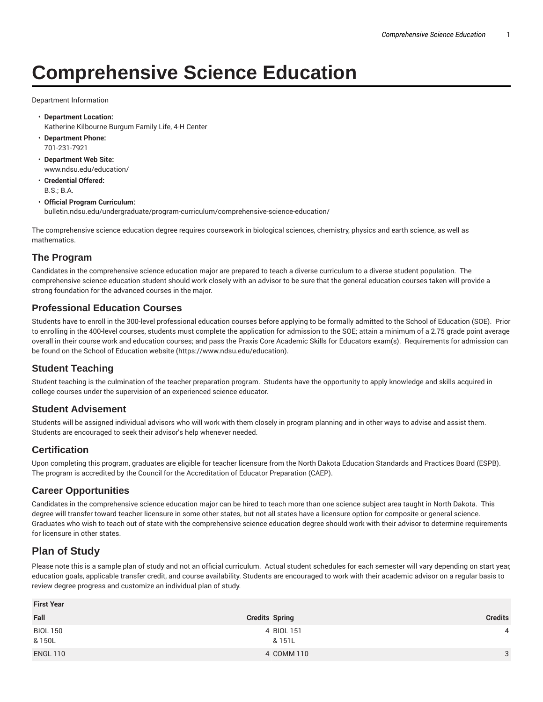# **Comprehensive Science Education**

Department Information

- **Department Location:** Katherine Kilbourne Burgum Family Life, 4-H Center
- **Department Phone:** 701-231-7921
- **Department Web Site:** www.ndsu.edu/education/
- **Credential Offered:** B.S.; B.A.

### • **Official Program Curriculum:**

bulletin.ndsu.edu/undergraduate/program-curriculum/comprehensive-science-education/

The comprehensive science education degree requires coursework in biological sciences, chemistry, physics and earth science, as well as mathematics.

## **The Program**

Candidates in the comprehensive science education major are prepared to teach a diverse curriculum to a diverse student population. The comprehensive science education student should work closely with an advisor to be sure that the general education courses taken will provide a strong foundation for the advanced courses in the major.

## **Professional Education Courses**

Students have to enroll in the 300-level professional education courses before applying to be formally admitted to the School of Education (SOE). Prior to enrolling in the 400-level courses, students must complete the application for admission to the SOE; attain a minimum of a 2.75 grade point average overall in their course work and education courses; and pass the Praxis Core Academic Skills for Educators exam(s). Requirements for admission can be found on the School of Education website (https://www.ndsu.edu/education).

## **Student Teaching**

Student teaching is the culmination of the teacher preparation program. Students have the opportunity to apply knowledge and skills acquired in college courses under the supervision of an experienced science educator.

### **Student Advisement**

Students will be assigned individual advisors who will work with them closely in program planning and in other ways to advise and assist them. Students are encouraged to seek their advisor's help whenever needed.

### **Certification**

Upon completing this program, graduates are eligible for teacher licensure from the North Dakota Education Standards and Practices Board (ESPB). The program is accredited by the Council for the Accreditation of Educator Preparation (CAEP).

### **Career Opportunities**

Candidates in the comprehensive science education major can be hired to teach more than one science subject area taught in North Dakota. This degree will transfer toward teacher licensure in some other states, but not all states have a licensure option for composite or general science. Graduates who wish to teach out of state with the comprehensive science education degree should work with their advisor to determine requirements for licensure in other states.

## **Plan of Study**

Please note this is a sample plan of study and not an official curriculum. Actual student schedules for each semester will vary depending on start year, education goals, applicable transfer credit, and course availability. Students are encouraged to work with their academic advisor on a regular basis to review degree progress and customize an individual plan of study.

| <b>First Year</b>         |                       |                |  |
|---------------------------|-----------------------|----------------|--|
| Fall                      | <b>Credits Spring</b> | <b>Credits</b> |  |
| <b>BIOL 150</b><br>& 150L | 4 BIOL 151<br>& 151L  | 4              |  |
| <b>ENGL 110</b>           | 4 COMM 110            | 3              |  |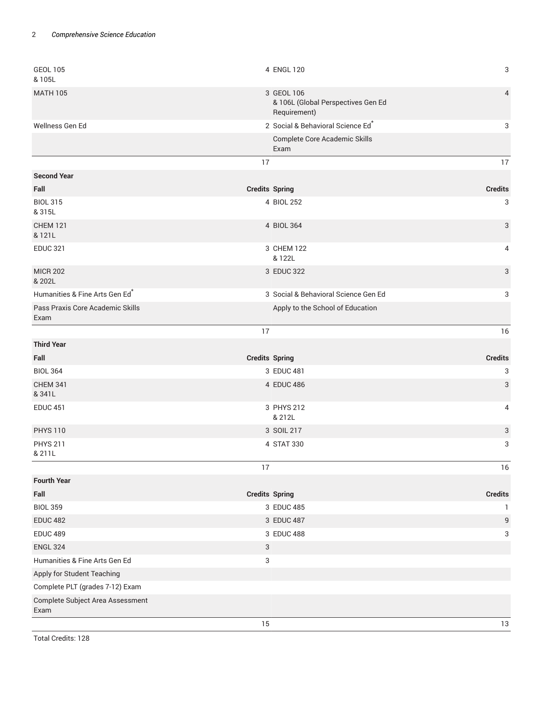| <b>GEOL 105</b><br>& 105L                | 4 ENGL 120                                                       | 3              |
|------------------------------------------|------------------------------------------------------------------|----------------|
| <b>MATH 105</b>                          | 3 GEOL 106<br>& 106L (Global Perspectives Gen Ed<br>Requirement) | $\overline{4}$ |
| Wellness Gen Ed                          | 2 Social & Behavioral Science Ed*                                | 3              |
|                                          | Complete Core Academic Skills<br>Exam                            |                |
|                                          | 17                                                               | 17             |
| <b>Second Year</b>                       |                                                                  |                |
| Fall                                     | <b>Credits Spring</b>                                            | <b>Credits</b> |
| <b>BIOL 315</b><br>& 315L                | 4 BIOL 252                                                       | $\sqrt{3}$     |
| <b>CHEM 121</b><br>& 121L                | 4 BIOL 364                                                       | 3              |
| <b>EDUC 321</b>                          | 3 CHEM 122                                                       | 4              |
|                                          | & 122L                                                           |                |
| <b>MICR 202</b><br>& 202L                | 3 EDUC 322                                                       | 3              |
| Humanities & Fine Arts Gen Ed*           | 3 Social & Behavioral Science Gen Ed                             | 3              |
| Pass Praxis Core Academic Skills<br>Exam | Apply to the School of Education                                 |                |
|                                          | 17                                                               | 16             |
| <b>Third Year</b>                        |                                                                  |                |
|                                          |                                                                  |                |
| Fall                                     | <b>Credits Spring</b>                                            | <b>Credits</b> |
| <b>BIOL 364</b>                          | 3 EDUC 481                                                       | 3              |
| <b>CHEM 341</b><br>& 341L                | 4 EDUC 486                                                       | 3              |
| <b>EDUC 451</b>                          | 3 PHYS 212<br>& 212L                                             | 4              |
| <b>PHYS 110</b>                          | 3 SOIL 217                                                       | 3              |
| <b>PHYS 211</b><br>& 211L                | 4 STAT 330                                                       | 3              |
|                                          | 17                                                               | 16             |
| <b>Fourth Year</b>                       |                                                                  |                |
| Fall                                     | <b>Credits Spring</b>                                            | <b>Credits</b> |
| <b>BIOL 359</b>                          | 3 EDUC 485                                                       | $\mathbf{1}$   |
| <b>EDUC 482</b>                          | 3 EDUC 487                                                       | $9\,$          |
| <b>EDUC 489</b>                          | 3 EDUC 488                                                       | 3              |
| <b>ENGL 324</b>                          | $\sqrt{3}$                                                       |                |
| Humanities & Fine Arts Gen Ed            | 3                                                                |                |
| Apply for Student Teaching               |                                                                  |                |
| Complete PLT (grades 7-12) Exam          |                                                                  |                |
| Complete Subject Area Assessment<br>Exam |                                                                  |                |

Total Credits: 128